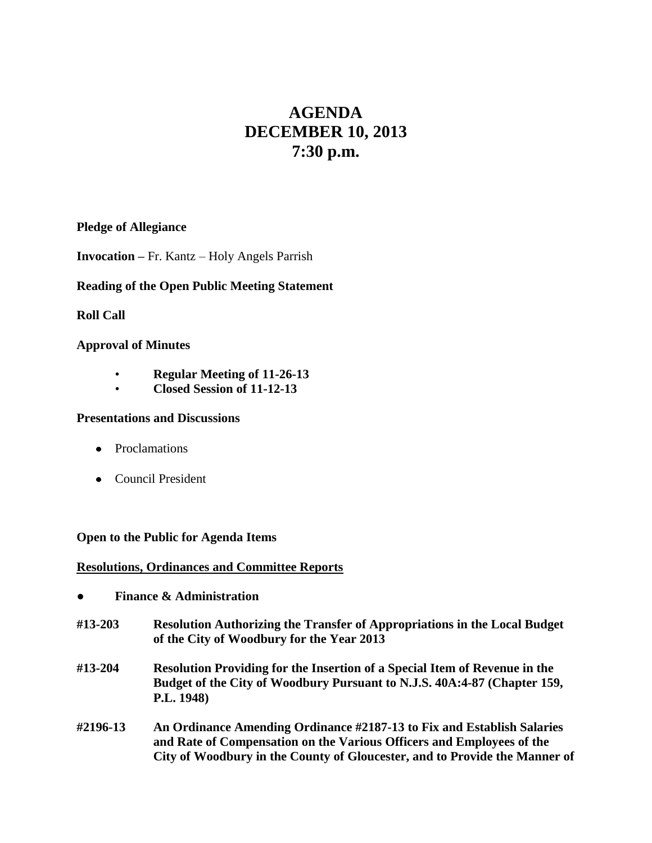# **AGENDA DECEMBER 10, 2013 7:30 p.m.**

## **Pledge of Allegiance**

**Invocation –** Fr. Kantz – Holy Angels Parrish

## **Reading of the Open Public Meeting Statement**

## **Roll Call**

## **Approval of Minutes**

- **Regular Meeting of 11-26-13**
- **Closed Session of 11-12-13**

### **Presentations and Discussions**

- Proclamations
- Council President

### **Open to the Public for Agenda Items**

### **Resolutions, Ordinances and Committee Reports**

- **● Finance & Administration**
- **#13-203 Resolution Authorizing the Transfer of Appropriations in the Local Budget of the City of Woodbury for the Year 2013**
- **#13-204 Resolution Providing for the Insertion of a Special Item of Revenue in the Budget of the City of Woodbury Pursuant to N.J.S. 40A:4-87 (Chapter 159, P.L. 1948)**
- **#2196-13 An Ordinance Amending Ordinance #2187-13 to Fix and Establish Salaries and Rate of Compensation on the Various Officers and Employees of the City of Woodbury in the County of Gloucester, and to Provide the Manner of**